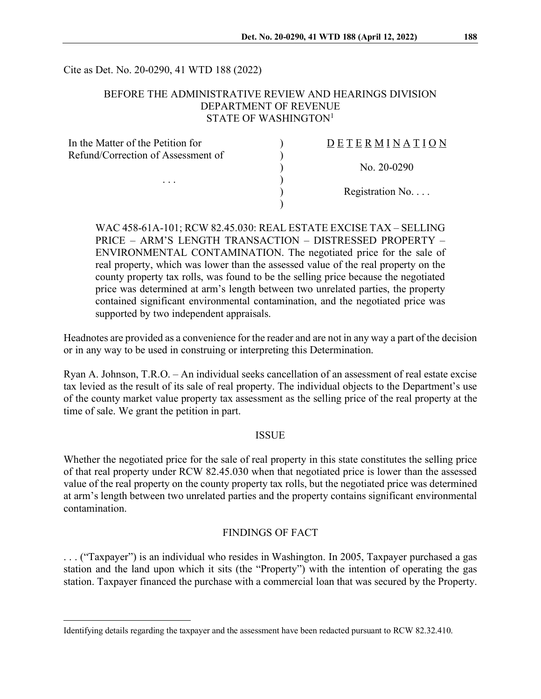Cite as Det. No. 20-0290, 41 WTD 188 (2022)

#### BEFORE THE ADMINISTRATIVE REVIEW AND HEARINGS DIVISION DEPARTMENT OF REVENUE STATE OF WASHINGTON $1$

| DETERMINATION   |
|-----------------|
|                 |
| No. $20-0290$   |
|                 |
| Registration No |
|                 |
|                 |

WAC 458-61A-101; RCW 82.45.030: REAL ESTATE EXCISE TAX – SELLING PRICE – ARM'S LENGTH TRANSACTION – DISTRESSED PROPERTY – ENVIRONMENTAL CONTAMINATION. The negotiated price for the sale of real property, which was lower than the assessed value of the real property on the county property tax rolls, was found to be the selling price because the negotiated price was determined at arm's length between two unrelated parties, the property contained significant environmental contamination, and the negotiated price was supported by two independent appraisals.

Headnotes are provided as a convenience for the reader and are not in any way a part of the decision or in any way to be used in construing or interpreting this Determination.

Ryan A. Johnson, T.R.O. – An individual seeks cancellation of an assessment of real estate excise tax levied as the result of its sale of real property. The individual objects to the Department's use of the county market value property tax assessment as the selling price of the real property at the time of sale. We grant the petition in part.

#### ISSUE

Whether the negotiated price for the sale of real property in this state constitutes the selling price of that real property under RCW 82.45.030 when that negotiated price is lower than the assessed value of the real property on the county property tax rolls, but the negotiated price was determined at arm's length between two unrelated parties and the property contains significant environmental contamination.

## FINDINGS OF FACT

. . . ("Taxpayer") is an individual who resides in Washington. In 2005, Taxpayer purchased a gas station and the land upon which it sits (the "Property") with the intention of operating the gas station. Taxpayer financed the purchase with a commercial loan that was secured by the Property.

<span id="page-0-0"></span>Identifying details regarding the taxpayer and the assessment have been redacted pursuant to RCW 82.32.410.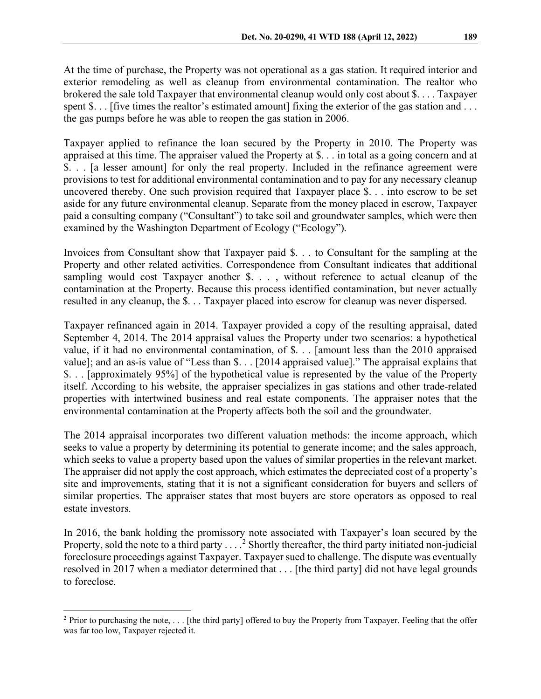At the time of purchase, the Property was not operational as a gas station. It required interior and exterior remodeling as well as cleanup from environmental contamination. The realtor who brokered the sale told Taxpayer that environmental cleanup would only cost about \$. . . . Taxpayer spent \$... [five times the realtor's estimated amount] fixing the exterior of the gas station and ... the gas pumps before he was able to reopen the gas station in 2006.

Taxpayer applied to refinance the loan secured by the Property in 2010. The Property was appraised at this time. The appraiser valued the Property at \$. . . in total as a going concern and at \$. . . [a lesser amount] for only the real property. Included in the refinance agreement were provisions to test for additional environmental contamination and to pay for any necessary cleanup uncovered thereby. One such provision required that Taxpayer place \$. . . into escrow to be set aside for any future environmental cleanup. Separate from the money placed in escrow, Taxpayer paid a consulting company ("Consultant") to take soil and groundwater samples, which were then examined by the Washington Department of Ecology ("Ecology").

Invoices from Consultant show that Taxpayer paid \$. . . to Consultant for the sampling at the Property and other related activities. Correspondence from Consultant indicates that additional sampling would cost Taxpayer another \$. . ., without reference to actual cleanup of the contamination at the Property. Because this process identified contamination, but never actually resulted in any cleanup, the \$. . . Taxpayer placed into escrow for cleanup was never dispersed.

Taxpayer refinanced again in 2014. Taxpayer provided a copy of the resulting appraisal, dated September 4, 2014. The 2014 appraisal values the Property under two scenarios: a hypothetical value, if it had no environmental contamination, of \$. . . [amount less than the 2010 appraised value]; and an as-is value of "Less than \$. . . [2014 appraised value]." The appraisal explains that \$. . . [approximately 95%] of the hypothetical value is represented by the value of the Property itself. According to his website, the appraiser specializes in gas stations and other trade-related properties with intertwined business and real estate components. The appraiser notes that the environmental contamination at the Property affects both the soil and the groundwater.

The 2014 appraisal incorporates two different valuation methods: the income approach, which seeks to value a property by determining its potential to generate income; and the sales approach, which seeks to value a property based upon the values of similar properties in the relevant market. The appraiser did not apply the cost approach, which estimates the depreciated cost of a property's site and improvements, stating that it is not a significant consideration for buyers and sellers of similar properties. The appraiser states that most buyers are store operators as opposed to real estate investors.

In 2016, the bank holding the promissory note associated with Taxpayer's loan secured by the Property, sold the note to a third party  $\dots$ <sup>[2](#page-1-0)</sup> Shortly thereafter, the third party initiated non-judicial foreclosure proceedings against Taxpayer. Taxpayer sued to challenge. The dispute was eventually resolved in 2017 when a mediator determined that . . . [the third party] did not have legal grounds to foreclose.

<span id="page-1-0"></span> $2$  Prior to purchasing the note, ... [the third party] offered to buy the Property from Taxpayer. Feeling that the offer was far too low, Taxpayer rejected it.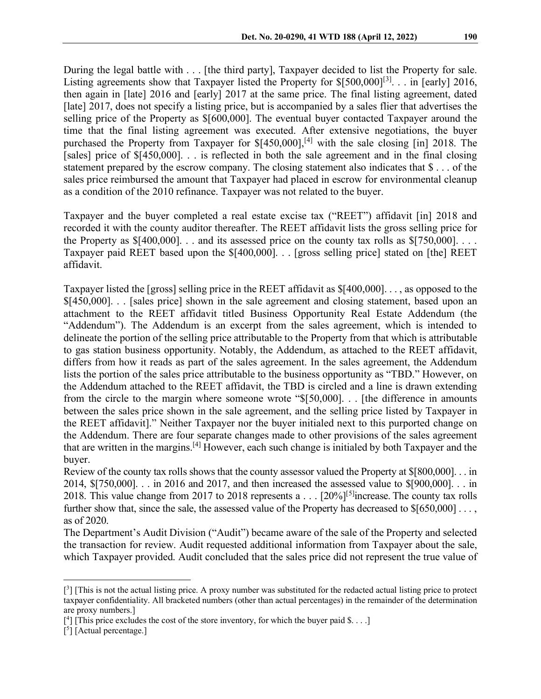During the legal battle with . . . [the third party], Taxpayer decided to list the Property for sale. Listing agreements show that Taxpayer listed the Property for  $\{500,000\}^{[3]}$  $\{500,000\}^{[3]}$  $\{500,000\}^{[3]}$ ... in [early] 2016, then again in [late] 2016 and [early] 2017 at the same price. The final listing agreement, dated [late] 2017, does not specify a listing price, but is accompanied by a sales flier that advertises the selling price of the Property as \$[600,000]. The eventual buyer contacted Taxpayer around the time that the final listing agreement was executed. After extensive negotiations, the buyer purchased the Property from Taxpayer for \$[\[4](#page-2-1)50,000],<sup>[4]</sup> with the sale closing [in] 2018. The [sales] price of \$[450,000]... is reflected in both the sale agreement and in the final closing statement prepared by the escrow company. The closing statement also indicates that \$ . . . of the sales price reimbursed the amount that Taxpayer had placed in escrow for environmental cleanup as a condition of the 2010 refinance. Taxpayer was not related to the buyer.

Taxpayer and the buyer completed a real estate excise tax ("REET") affidavit [in] 2018 and recorded it with the county auditor thereafter. The REET affidavit lists the gross selling price for the Property as  $$[400,000]$ ... and its assessed price on the county tax rolls as  $$[750,000]$ ... Taxpayer paid REET based upon the \$[400,000]. . . [gross selling price] stated on [the] REET affidavit.

Taxpayer listed the [gross] selling price in the REET affidavit as \$[400,000]. . . , as opposed to the \$[450,000]. . . [sales price] shown in the sale agreement and closing statement, based upon an attachment to the REET affidavit titled Business Opportunity Real Estate Addendum (the "Addendum"). The Addendum is an excerpt from the sales agreement, which is intended to delineate the portion of the selling price attributable to the Property from that which is attributable to gas station business opportunity. Notably, the Addendum, as attached to the REET affidavit, differs from how it reads as part of the sales agreement. In the sales agreement, the Addendum lists the portion of the sales price attributable to the business opportunity as "TBD." However, on the Addendum attached to the REET affidavit, the TBD is circled and a line is drawn extending from the circle to the margin where someone wrote "\$[50,000]. . . [the difference in amounts between the sales price shown in the sale agreement, and the selling price listed by Taxpayer in the REET affidavit]." Neither Taxpayer nor the buyer initialed next to this purported change on the Addendum. There are four separate changes made to other provisions of the sales agreement that are written in the margins.<sup>[4]</sup> However, each such change is initialed by both Taxpayer and the buyer.

Review of the county tax rolls shows that the county assessor valued the Property at \$[800,000]. . . in 2014, \$[750,000]. . . in 2016 and 2017, and then increased the assessed value to \$[900,000]. . . in 2018. This value change from 2017 to 2018 represents a . . .  $[20\%]^{[5]}$  $[20\%]^{[5]}$  $[20\%]^{[5]}$  increase. The county tax rolls further show that, since the sale, the assessed value of the Property has decreased to \$[650,000] . . . , as of 2020.

The Department's Audit Division ("Audit") became aware of the sale of the Property and selected the transaction for review. Audit requested additional information from Taxpayer about the sale, which Taxpayer provided. Audit concluded that the sales price did not represent the true value of

<span id="page-2-0"></span><sup>[&</sup>lt;sup>3</sup>] [This is not the actual listing price. A proxy number was substituted for the redacted actual listing price to protect taxpayer confidentiality. All bracketed numbers (other than actual percentages) in the remainder of the determination are proxy numbers.]

<span id="page-2-1"></span> $[$ <sup>4</sup>] [This price excludes the cost of the store inventory, for which the buyer paid \$....]

<span id="page-2-2"></span><sup>[&</sup>lt;sup>5</sup>] [Actual percentage.]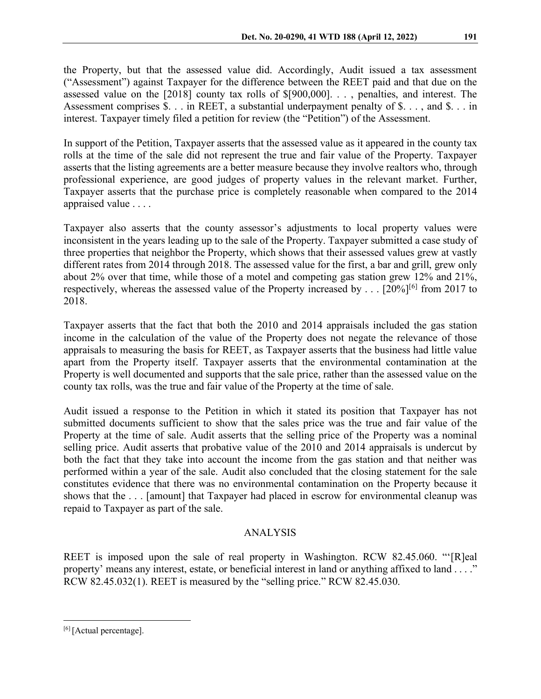the Property, but that the assessed value did. Accordingly, Audit issued a tax assessment ("Assessment") against Taxpayer for the difference between the REET paid and that due on the assessed value on the [2018] county tax rolls of \$[900,000]. . . , penalties, and interest. The Assessment comprises \$. . . in REET, a substantial underpayment penalty of \$. . . , and \$. . . in interest. Taxpayer timely filed a petition for review (the "Petition") of the Assessment.

In support of the Petition, Taxpayer asserts that the assessed value as it appeared in the county tax rolls at the time of the sale did not represent the true and fair value of the Property. Taxpayer asserts that the listing agreements are a better measure because they involve realtors who, through professional experience, are good judges of property values in the relevant market. Further, Taxpayer asserts that the purchase price is completely reasonable when compared to the 2014 appraised value . . . .

Taxpayer also asserts that the county assessor's adjustments to local property values were inconsistent in the years leading up to the sale of the Property. Taxpayer submitted a case study of three properties that neighbor the Property, which shows that their assessed values grew at vastly different rates from 2014 through 2018. The assessed value for the first, a bar and grill, grew only about 2% over that time, while those of a motel and competing gas station grew 12% and 21%, respectively, whereas the assessed value of the Property increased by . . .  $[20\%]^{[6]}$  $[20\%]^{[6]}$  $[20\%]^{[6]}$  from 2017 to 2018.

Taxpayer asserts that the fact that both the 2010 and 2014 appraisals included the gas station income in the calculation of the value of the Property does not negate the relevance of those appraisals to measuring the basis for REET, as Taxpayer asserts that the business had little value apart from the Property itself. Taxpayer asserts that the environmental contamination at the Property is well documented and supports that the sale price, rather than the assessed value on the county tax rolls, was the true and fair value of the Property at the time of sale.

Audit issued a response to the Petition in which it stated its position that Taxpayer has not submitted documents sufficient to show that the sales price was the true and fair value of the Property at the time of sale. Audit asserts that the selling price of the Property was a nominal selling price. Audit asserts that probative value of the 2010 and 2014 appraisals is undercut by both the fact that they take into account the income from the gas station and that neither was performed within a year of the sale. Audit also concluded that the closing statement for the sale constitutes evidence that there was no environmental contamination on the Property because it shows that the . . . [amount] that Taxpayer had placed in escrow for environmental cleanup was repaid to Taxpayer as part of the sale.

# ANALYSIS

REET is imposed upon the sale of real property in Washington. RCW 82.45.060. "'[R]eal property' means any interest, estate, or beneficial interest in land or anything affixed to land . . . ." RCW 82.45.032(1). REET is measured by the "selling price." RCW 82.45.030.

<span id="page-3-0"></span><sup>[6] [</sup>Actual percentage].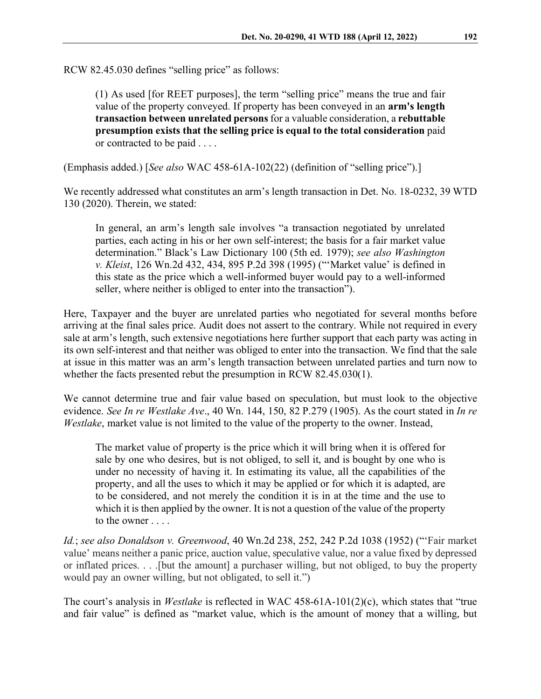RCW 82.45.030 defines "selling price" as follows:

(1) As used [for REET purposes], the term "selling price" means the true and fair value of the property conveyed. If property has been conveyed in an **arm's length transaction between unrelated persons**for a valuable consideration, a **rebuttable presumption exists that the selling price is equal to the total consideration** paid or contracted to be paid . . . .

(Emphasis added.) [*See also* WAC 458-61A-102(22) (definition of "selling price").]

We recently addressed what constitutes an arm's length transaction in Det. No. 18-0232, 39 WTD 130 (2020). Therein, we stated:

In general, an arm's length sale involves "a transaction negotiated by unrelated parties, each acting in his or her own self-interest; the basis for a fair market value determination." Black's Law Dictionary 100 (5th ed. 1979); *see also Washington v. Kleist*, 126 Wn.2d 432, 434, 895 P.2d 398 (1995) ("'Market value' is defined in this state as the price which a well-informed buyer would pay to a well-informed seller, where neither is obliged to enter into the transaction").

Here, Taxpayer and the buyer are unrelated parties who negotiated for several months before arriving at the final sales price. Audit does not assert to the contrary. While not required in every sale at arm's length, such extensive negotiations here further support that each party was acting in its own self-interest and that neither was obliged to enter into the transaction. We find that the sale at issue in this matter was an arm's length transaction between unrelated parties and turn now to whether the facts presented rebut the presumption in RCW 82.45.030(1).

We cannot determine true and fair value based on speculation, but must look to the objective evidence. *See In re Westlake Ave*., 40 Wn. 144, 150, 82 P.279 (1905). As the court stated in *In re Westlake*, market value is not limited to the value of the property to the owner. Instead,

The market value of property is the price which it will bring when it is offered for sale by one who desires, but is not obliged, to sell it, and is bought by one who is under no necessity of having it. In estimating its value, all the capabilities of the property, and all the uses to which it may be applied or for which it is adapted, are to be considered, and not merely the condition it is in at the time and the use to which it is then applied by the owner. It is not a question of the value of the property to the owner . . . .

*Id.*; *see also Donaldson v. Greenwood*, 40 Wn.2d 238, 252, 242 P.2d 1038 (1952) ("'Fair market value' means neither a panic price, auction value, speculative value, nor a value fixed by depressed or inflated prices. . . .[but the amount] a purchaser willing, but not obliged, to buy the property would pay an owner willing, but not obligated, to sell it.")

The court's analysis in *Westlake* is reflected in WAC 458-61A-101(2)(c), which states that "true and fair value" is defined as "market value, which is the amount of money that a willing, but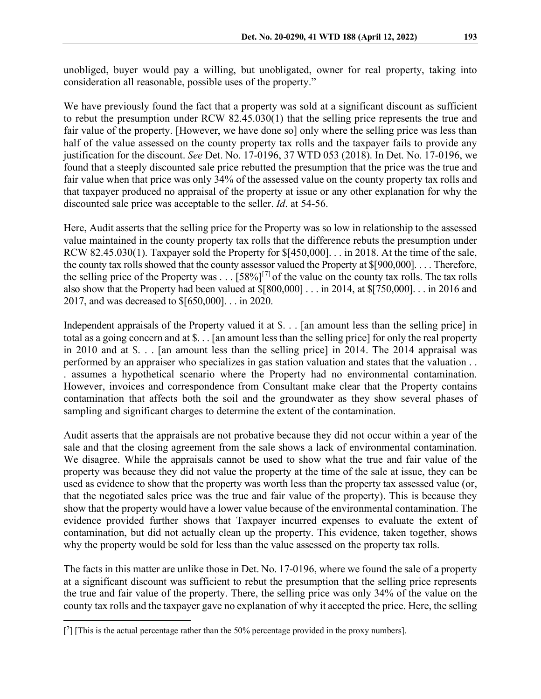unobliged, buyer would pay a willing, but unobligated, owner for real property, taking into consideration all reasonable, possible uses of the property."

We have previously found the fact that a property was sold at a significant discount as sufficient to rebut the presumption under RCW 82.45.030(1) that the selling price represents the true and fair value of the property. [However, we have done so] only where the selling price was less than half of the value assessed on the county property tax rolls and the taxpayer fails to provide any justification for the discount. *See* Det. No. 17-0196, 37 WTD 053 (2018). In Det. No. 17-0196, we found that a steeply discounted sale price rebutted the presumption that the price was the true and fair value when that price was only 34% of the assessed value on the county property tax rolls and that taxpayer produced no appraisal of the property at issue or any other explanation for why the discounted sale price was acceptable to the seller. *Id*. at 54-56.

Here, Audit asserts that the selling price for the Property was so low in relationship to the assessed value maintained in the county property tax rolls that the difference rebuts the presumption under RCW 82.45.030(1). Taxpayer sold the Property for \$[450,000]. . . in 2018. At the time of the sale, the county tax rolls showed that the county assessor valued the Property at \$[900,000]. . . . Therefore, the selling price of the Property was . . .  $[58\%]^{[7]}$  $[58\%]^{[7]}$  $[58\%]^{[7]}$  of the value on the county tax rolls. The tax rolls also show that the Property had been valued at \$[800,000] . . . in 2014, at \$[750,000]. . . in 2016 and 2017, and was decreased to \$[650,000]. . . in 2020.

Independent appraisals of the Property valued it at \$. . . [an amount less than the selling price] in total as a going concern and at \$. . . [an amount less than the selling price] for only the real property in 2010 and at \$. . . [an amount less than the selling price] in 2014. The 2014 appraisal was performed by an appraiser who specializes in gas station valuation and states that the valuation . . . assumes a hypothetical scenario where the Property had no environmental contamination. However, invoices and correspondence from Consultant make clear that the Property contains contamination that affects both the soil and the groundwater as they show several phases of sampling and significant charges to determine the extent of the contamination.

Audit asserts that the appraisals are not probative because they did not occur within a year of the sale and that the closing agreement from the sale shows a lack of environmental contamination. We disagree. While the appraisals cannot be used to show what the true and fair value of the property was because they did not value the property at the time of the sale at issue, they can be used as evidence to show that the property was worth less than the property tax assessed value (or, that the negotiated sales price was the true and fair value of the property). This is because they show that the property would have a lower value because of the environmental contamination. The evidence provided further shows that Taxpayer incurred expenses to evaluate the extent of contamination, but did not actually clean up the property. This evidence, taken together, shows why the property would be sold for less than the value assessed on the property tax rolls.

The facts in this matter are unlike those in Det. No. 17-0196, where we found the sale of a property at a significant discount was sufficient to rebut the presumption that the selling price represents the true and fair value of the property. There, the selling price was only 34% of the value on the county tax rolls and the taxpayer gave no explanation of why it accepted the price. Here, the selling

<span id="page-5-0"></span><sup>[7] [</sup>This is the actual percentage rather than the 50% percentage provided in the proxy numbers].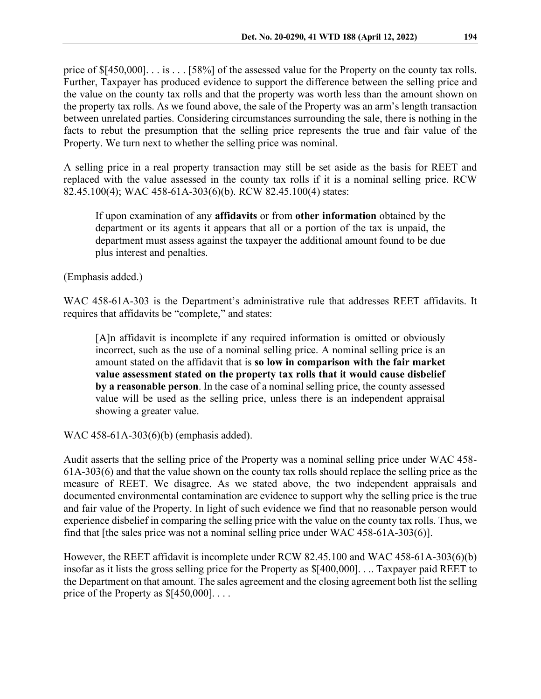price of \$[450,000]. . . is . . . [58%] of the assessed value for the Property on the county tax rolls. Further, Taxpayer has produced evidence to support the difference between the selling price and the value on the county tax rolls and that the property was worth less than the amount shown on the property tax rolls. As we found above, the sale of the Property was an arm's length transaction between unrelated parties. Considering circumstances surrounding the sale, there is nothing in the facts to rebut the presumption that the selling price represents the true and fair value of the Property. We turn next to whether the selling price was nominal.

A selling price in a real property transaction may still be set aside as the basis for REET and replaced with the value assessed in the county tax rolls if it is a nominal selling price. RCW 82.45.100(4); WAC 458-61A-303(6)(b). RCW 82.45.100(4) states:

If upon examination of any **affidavits** or from **other information** obtained by the department or its agents it appears that all or a portion of the tax is unpaid, the department must assess against the taxpayer the additional amount found to be due plus interest and penalties.

(Emphasis added.)

WAC 458-61A-303 is the Department's administrative rule that addresses REET affidavits. It requires that affidavits be "complete," and states:

[A]n affidavit is incomplete if any required information is omitted or obviously incorrect, such as the use of a nominal selling price. A nominal selling price is an amount stated on the affidavit that is **so low in comparison with the fair market value assessment stated on the property tax rolls that it would cause disbelief by a reasonable person**. In the case of a nominal selling price, the county assessed value will be used as the selling price, unless there is an independent appraisal showing a greater value.

WAC 458-61A-303(6)(b) (emphasis added).

Audit asserts that the selling price of the Property was a nominal selling price under WAC 458- 61A-303(6) and that the value shown on the county tax rolls should replace the selling price as the measure of REET. We disagree. As we stated above, the two independent appraisals and documented environmental contamination are evidence to support why the selling price is the true and fair value of the Property. In light of such evidence we find that no reasonable person would experience disbelief in comparing the selling price with the value on the county tax rolls. Thus, we find that [the sales price was not a nominal selling price under WAC 458-61A-303(6)].

However, the REET affidavit is incomplete under RCW 82.45.100 and WAC 458-61A-303(6)(b) insofar as it lists the gross selling price for the Property as \$[400,000]. . .. Taxpayer paid REET to the Department on that amount. The sales agreement and the closing agreement both list the selling price of the Property as  $$[450,000]$ ...